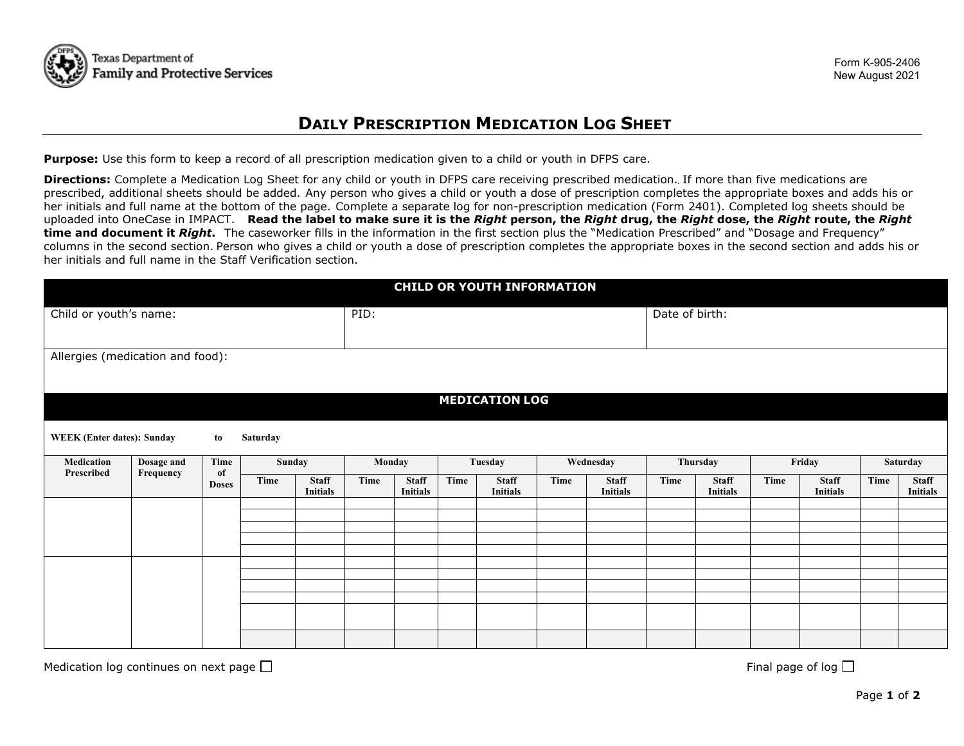

## **DAILY PRESCRIPTION MEDICATION LOG SHEET**

**Purpose:** Use this form to keep a record of all prescription medication given to a child or youth in DFPS care.

 uploaded into OneCase in IMPACT. **Read the label to make sure it is the** *Right* **person, the** *Right* **drug, the** *Right* **dose, the** *Right* **route, the** *Right* columns in the second section. Person who gives a child or youth a dose of prescription completes the appropriate boxes in the second section and adds his or **Directions:** Complete a Medication Log Sheet for any child or youth in DFPS care receiving prescribed medication. If more than five medications are prescribed, additional sheets should be added. Any person who gives a child or youth a dose of prescription completes the appropriate boxes and adds his or her initials and full name at the bottom of the page. Complete a separate log for non-prescription medication (Form 2401). Completed log sheets should be **time and document it** *Right***.** The caseworker fills in the information in the first section plus the "Medication Prescribed" and "Dosage and Frequency" her initials and full name in the Staff Verification section.

| <b>CHILD OR YOUTH INFORMATION</b> |                         |                            |          |                                 |        |                                 |      |                                 |           |                                 |          |                                 |        |                                 |          |                                 |  |
|-----------------------------------|-------------------------|----------------------------|----------|---------------------------------|--------|---------------------------------|------|---------------------------------|-----------|---------------------------------|----------|---------------------------------|--------|---------------------------------|----------|---------------------------------|--|
| Child or youth's name:            |                         |                            |          |                                 | PID:   |                                 |      |                                 |           | Date of birth:                  |          |                                 |        |                                 |          |                                 |  |
|                                   |                         |                            |          |                                 |        |                                 |      |                                 |           |                                 |          |                                 |        |                                 |          |                                 |  |
| Allergies (medication and food):  |                         |                            |          |                                 |        |                                 |      |                                 |           |                                 |          |                                 |        |                                 |          |                                 |  |
|                                   |                         |                            |          |                                 |        |                                 |      |                                 |           |                                 |          |                                 |        |                                 |          |                                 |  |
|                                   |                         |                            |          |                                 |        |                                 |      | <b>MEDICATION LOG</b>           |           |                                 |          |                                 |        |                                 |          |                                 |  |
| <b>WEEK</b> (Enter dates): Sunday |                         | to                         | Saturday |                                 |        |                                 |      |                                 |           |                                 |          |                                 |        |                                 |          |                                 |  |
| Medication<br>Prescribed          | Dosage and<br>Frequency | Time<br>of<br><b>Doses</b> | Sunday   |                                 | Monday |                                 |      | Tuesday                         | Wednesday |                                 | Thursday |                                 | Friday |                                 | Saturday |                                 |  |
|                                   |                         |                            | Time     | <b>Staff</b><br><b>Initials</b> | Time   | <b>Staff</b><br><b>Initials</b> | Time | <b>Staff</b><br><b>Initials</b> | Time      | <b>Staff</b><br><b>Initials</b> | Time     | <b>Staff</b><br><b>Initials</b> | Time   | <b>Staff</b><br><b>Initials</b> | Time     | <b>Staff</b><br><b>Initials</b> |  |
|                                   |                         |                            |          |                                 |        |                                 |      |                                 |           |                                 |          |                                 |        |                                 |          |                                 |  |
|                                   |                         |                            |          |                                 |        |                                 |      |                                 |           |                                 |          |                                 |        |                                 |          |                                 |  |
|                                   |                         |                            |          |                                 |        |                                 |      |                                 |           |                                 |          |                                 |        |                                 |          |                                 |  |
|                                   |                         |                            |          |                                 |        |                                 |      |                                 |           |                                 |          |                                 |        |                                 |          |                                 |  |
|                                   |                         |                            |          |                                 |        |                                 |      |                                 |           |                                 |          |                                 |        |                                 |          |                                 |  |
|                                   |                         |                            |          |                                 |        |                                 |      |                                 |           |                                 |          |                                 |        |                                 |          |                                 |  |
|                                   |                         |                            |          |                                 |        |                                 |      |                                 |           |                                 |          |                                 |        |                                 |          |                                 |  |

Medication log continues on next page Final page of log

□ □